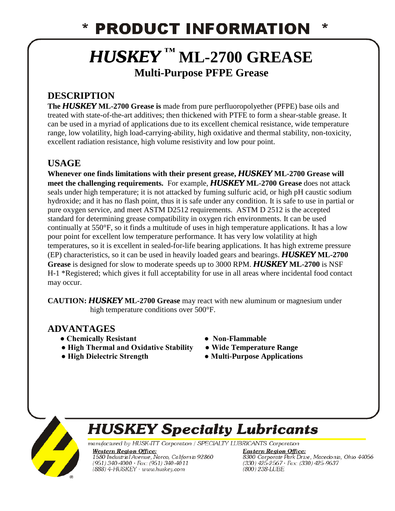#### **PRODUCT INFORMATION** ∗

# *HUSKEY* **™ ML-2700 GREASE Multi-Purpose PFPE Grease**

## **DESCRIPTION**

**The** *HUSKEY* **ML-2700 Grease is** made from pure perfluoropolyether (PFPE) base oils and treated with state-of-the-art additives; then thickened with PTFE to form a shear-stable grease. It can be used in a myriad of applications due to its excellent chemical resistance, wide temperature range, low volatility, high load-carrying-ability, high oxidative and thermal stability, non-toxicity, excellent radiation resistance, high volume resistivity and low pour point.

## **USAGE**

**Whenever one finds limitations with their present grease,** *HUSKEY* **ML-2700 Grease will meet the challenging requirements.** For example, *HUSKEY* **ML-2700 Grease** does not attack seals under high temperature; it is not attacked by fuming sulfuric acid, or high pH caustic sodium hydroxide; and it has no flash point, thus it is safe under any condition. It is safe to use in partial or pure oxygen service, and meet ASTM D2512 requirements. ASTM D 2512 is the accepted standard for determining grease compatibility in oxygen rich environments. It can be used continually at 550°F, so it finds a multitude of uses in high temperature applications. It has a low pour point for excellent low temperature performance. It has very low volatility at high temperatures, so it is excellent in sealed-for-life bearing applications. It has high extreme pressure (EP) characteristics, so it can be used in heavily loaded gears and bearings. *HUSKEY* **ML-2700 Grease** is designed for slow to moderate speeds up to 3000 RPM. *HUSKEY* **ML-2700** is NSF H-1 \*Registered; which gives it full acceptability for use in all areas where incidental food contact may occur.

**CAUTION:** *HUSKEY* **ML-2700 Grease** may react with new aluminum or magnesium under high temperature conditions over 500°F.

## **ADVANTAGES**

- Chemically Resistant Non-Flammable
- **High Thermal and Oxidative Stability Wide Temperature Range**
- 
- 
- 
- **High Dielectric Strength Multi-Purpose Applications**



# **HUSKEY Specialty Lubricants**

manufactured by HUSK-ITT Corporation / SPECIALTY LUBRICANTS Corporation

**Western Region Office:** 1580 Industrial Avenue, Norco, California 92860  $(951)$  340-4000  $\cdot$  Fax: (951) 340-4011 (888) 4-HUSKEY · www.huskey.com

**Eastern Region Office:** 8300 Corporate Park Drive, Macedonia, Ohio 44056<br>(330) 425-2567 · Fax: (330) 425-9637  $(800)$  238-LUBE